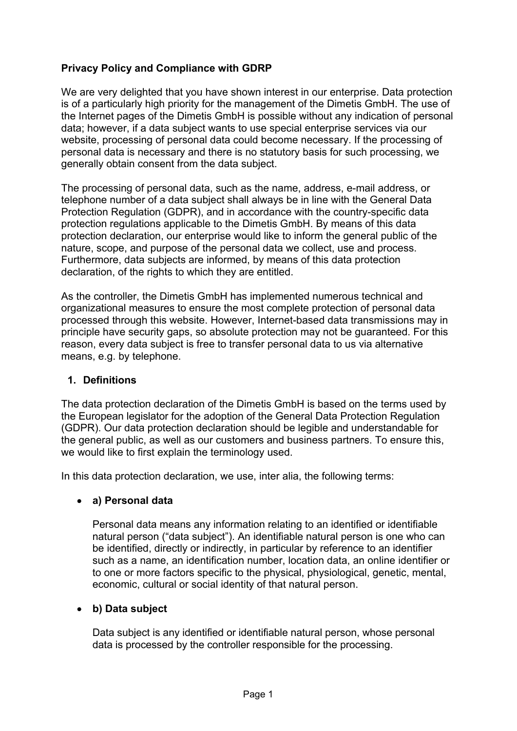## **Privacy Policy and Compliance with GDRP**

We are very delighted that you have shown interest in our enterprise. Data protection is of a particularly high priority for the management of the Dimetis GmbH. The use of the Internet pages of the Dimetis GmbH is possible without any indication of personal data; however, if a data subject wants to use special enterprise services via our website, processing of personal data could become necessary. If the processing of personal data is necessary and there is no statutory basis for such processing, we generally obtain consent from the data subject.

The processing of personal data, such as the name, address, e-mail address, or telephone number of a data subject shall always be in line with the General Data Protection Regulation (GDPR), and in accordance with the country-specific data protection regulations applicable to the Dimetis GmbH. By means of this data protection declaration, our enterprise would like to inform the general public of the nature, scope, and purpose of the personal data we collect, use and process. Furthermore, data subjects are informed, by means of this data protection declaration, of the rights to which they are entitled.

As the controller, the Dimetis GmbH has implemented numerous technical and organizational measures to ensure the most complete protection of personal data processed through this website. However, Internet-based data transmissions may in principle have security gaps, so absolute protection may not be guaranteed. For this reason, every data subject is free to transfer personal data to us via alternative means, e.g. by telephone.

#### **1. Definitions**

The data protection declaration of the Dimetis GmbH is based on the terms used by the European legislator for the adoption of the General Data Protection Regulation (GDPR). Our data protection declaration should be legible and understandable for the general public, as well as our customers and business partners. To ensure this, we would like to first explain the terminology used.

In this data protection declaration, we use, inter alia, the following terms:

#### **a) Personal data**

Personal data means any information relating to an identified or identifiable natural person ("data subject"). An identifiable natural person is one who can be identified, directly or indirectly, in particular by reference to an identifier such as a name, an identification number, location data, an online identifier or to one or more factors specific to the physical, physiological, genetic, mental, economic, cultural or social identity of that natural person.

### **b) Data subject**

Data subject is any identified or identifiable natural person, whose personal data is processed by the controller responsible for the processing.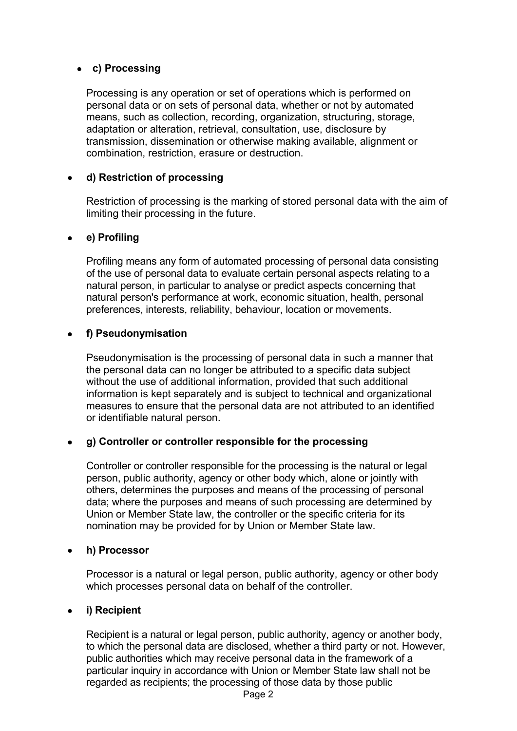#### **c) Processing**

Processing is any operation or set of operations which is performed on personal data or on sets of personal data, whether or not by automated means, such as collection, recording, organization, structuring, storage, adaptation or alteration, retrieval, consultation, use, disclosure by transmission, dissemination or otherwise making available, alignment or combination, restriction, erasure or destruction.

#### **d) Restriction of processing**

Restriction of processing is the marking of stored personal data with the aim of limiting their processing in the future.

#### **e) Profiling**

Profiling means any form of automated processing of personal data consisting of the use of personal data to evaluate certain personal aspects relating to a natural person, in particular to analyse or predict aspects concerning that natural person's performance at work, economic situation, health, personal preferences, interests, reliability, behaviour, location or movements.

#### **f) Pseudonymisation**

Pseudonymisation is the processing of personal data in such a manner that the personal data can no longer be attributed to a specific data subject without the use of additional information, provided that such additional information is kept separately and is subject to technical and organizational measures to ensure that the personal data are not attributed to an identified or identifiable natural person.

#### **g) Controller or controller responsible for the processing**

Controller or controller responsible for the processing is the natural or legal person, public authority, agency or other body which, alone or jointly with others, determines the purposes and means of the processing of personal data; where the purposes and means of such processing are determined by Union or Member State law, the controller or the specific criteria for its nomination may be provided for by Union or Member State law.

#### **h) Processor**

Processor is a natural or legal person, public authority, agency or other body which processes personal data on behalf of the controller.

#### **i) Recipient**

Recipient is a natural or legal person, public authority, agency or another body, to which the personal data are disclosed, whether a third party or not. However, public authorities which may receive personal data in the framework of a particular inquiry in accordance with Union or Member State law shall not be regarded as recipients; the processing of those data by those public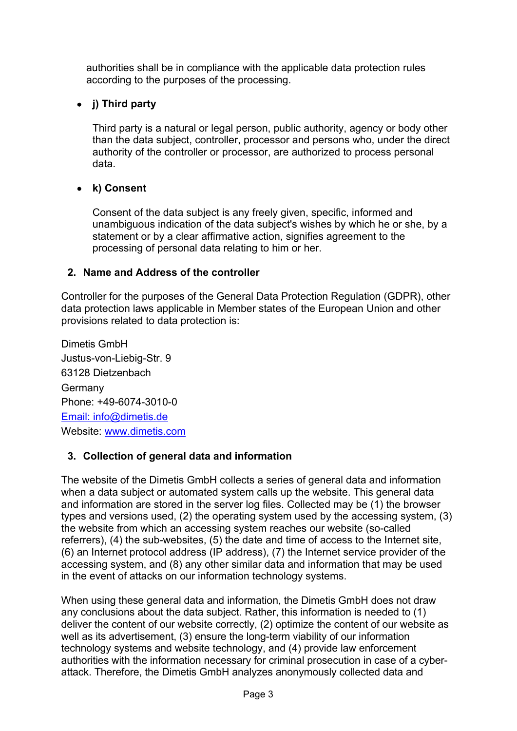authorities shall be in compliance with the applicable data protection rules according to the purposes of the processing.

# **j) Third party**

Third party is a natural or legal person, public authority, agency or body other than the data subject, controller, processor and persons who, under the direct authority of the controller or processor, are authorized to process personal data.

# **k) Consent**

Consent of the data subject is any freely given, specific, informed and unambiguous indication of the data subject's wishes by which he or she, by a statement or by a clear affirmative action, signifies agreement to the processing of personal data relating to him or her.

### **2. Name and Address of the controller**

Controller for the purposes of the General Data Protection Regulation (GDPR), other data protection laws applicable in Member states of the European Union and other provisions related to data protection is:

Dimetis GmbH Justus-von-Liebig-Str. 9 63128 Dietzenbach **Germany** Phone: +49-6074-3010-0 Email: info@dimetis.de Website: www.dimetis.com

# **3. Collection of general data and information**

The website of the Dimetis GmbH collects a series of general data and information when a data subject or automated system calls up the website. This general data and information are stored in the server log files. Collected may be (1) the browser types and versions used, (2) the operating system used by the accessing system, (3) the website from which an accessing system reaches our website (so-called referrers), (4) the sub-websites, (5) the date and time of access to the Internet site, (6) an Internet protocol address (IP address), (7) the Internet service provider of the accessing system, and (8) any other similar data and information that may be used in the event of attacks on our information technology systems.

When using these general data and information, the Dimetis GmbH does not draw any conclusions about the data subject. Rather, this information is needed to (1) deliver the content of our website correctly, (2) optimize the content of our website as well as its advertisement, (3) ensure the long-term viability of our information technology systems and website technology, and (4) provide law enforcement authorities with the information necessary for criminal prosecution in case of a cyberattack. Therefore, the Dimetis GmbH analyzes anonymously collected data and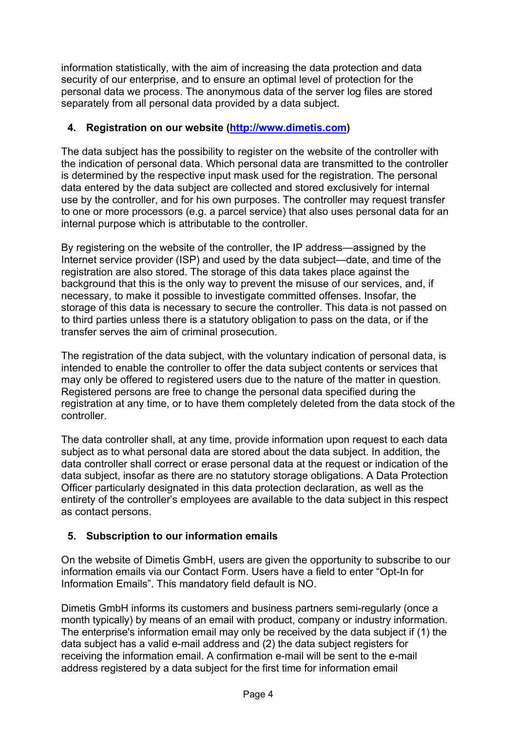information statistically, with the aim of increasing the data protection and data security of our enterprise, and to ensure an optimal level of protection for the personal data we process. The anonymous data of the server log files are stored separately from all personal data provided by a data subject.

## **4. Registration on our website (http://www.dimetis.com)**

The data subject has the possibility to register on the website of the controller with the indication of personal data. Which personal data are transmitted to the controller is determined by the respective input mask used for the registration. The personal data entered by the data subject are collected and stored exclusively for internal use by the controller, and for his own purposes. The controller may request transfer to one or more processors (e.g. a parcel service) that also uses personal data for an internal purpose which is attributable to the controller.

By registering on the website of the controller, the IP address—assigned by the Internet service provider (ISP) and used by the data subject—date, and time of the registration are also stored. The storage of this data takes place against the background that this is the only way to prevent the misuse of our services, and, if necessary, to make it possible to investigate committed offenses. Insofar, the storage of this data is necessary to secure the controller. This data is not passed on to third parties unless there is a statutory obligation to pass on the data, or if the transfer serves the aim of criminal prosecution.

The registration of the data subject, with the voluntary indication of personal data, is intended to enable the controller to offer the data subject contents or services that may only be offered to registered users due to the nature of the matter in question. Registered persons are free to change the personal data specified during the registration at any time, or to have them completely deleted from the data stock of the controller.

The data controller shall, at any time, provide information upon request to each data subject as to what personal data are stored about the data subject. In addition, the data controller shall correct or erase personal data at the request or indication of the data subject, insofar as there are no statutory storage obligations. A Data Protection Officer particularly designated in this data protection declaration, as well as the entirety of the controller's employees are available to the data subject in this respect as contact persons.

# **5. Subscription to our information emails**

On the website of Dimetis GmbH, users are given the opportunity to subscribe to our information emails via our Contact Form. Users have a field to enter "Opt-In for Information Emails". This mandatory field default is NO.

Dimetis GmbH informs its customers and business partners semi-regularly (once a month typically) by means of an email with product, company or industry information. The enterprise's information email may only be received by the data subject if (1) the data subject has a valid e-mail address and (2) the data subject registers for receiving the information email. A confirmation e-mail will be sent to the e-mail address registered by a data subject for the first time for information email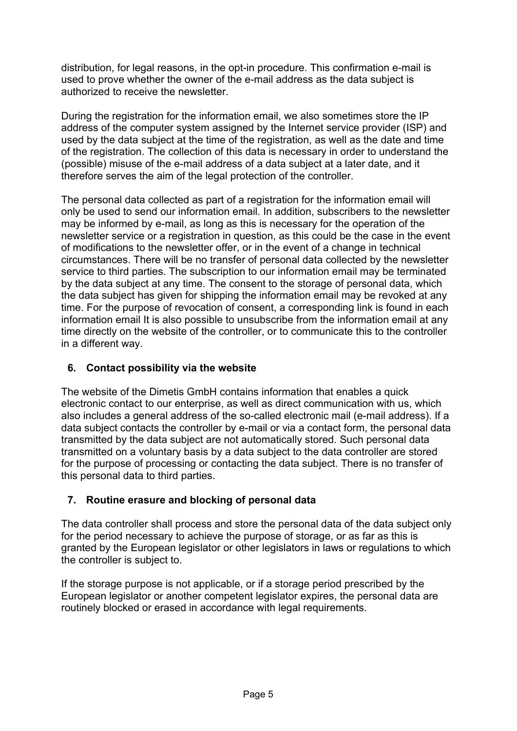distribution, for legal reasons, in the opt-in procedure. This confirmation e-mail is used to prove whether the owner of the e-mail address as the data subject is authorized to receive the newsletter.

During the registration for the information email, we also sometimes store the IP address of the computer system assigned by the Internet service provider (ISP) and used by the data subject at the time of the registration, as well as the date and time of the registration. The collection of this data is necessary in order to understand the (possible) misuse of the e-mail address of a data subject at a later date, and it therefore serves the aim of the legal protection of the controller.

The personal data collected as part of a registration for the information email will only be used to send our information email. In addition, subscribers to the newsletter may be informed by e-mail, as long as this is necessary for the operation of the newsletter service or a registration in question, as this could be the case in the event of modifications to the newsletter offer, or in the event of a change in technical circumstances. There will be no transfer of personal data collected by the newsletter service to third parties. The subscription to our information email may be terminated by the data subject at any time. The consent to the storage of personal data, which the data subject has given for shipping the information email may be revoked at any time. For the purpose of revocation of consent, a corresponding link is found in each information email It is also possible to unsubscribe from the information email at any time directly on the website of the controller, or to communicate this to the controller in a different way.

## **6. Contact possibility via the website**

The website of the Dimetis GmbH contains information that enables a quick electronic contact to our enterprise, as well as direct communication with us, which also includes a general address of the so-called electronic mail (e-mail address). If a data subject contacts the controller by e-mail or via a contact form, the personal data transmitted by the data subject are not automatically stored. Such personal data transmitted on a voluntary basis by a data subject to the data controller are stored for the purpose of processing or contacting the data subject. There is no transfer of this personal data to third parties.

# **7. Routine erasure and blocking of personal data**

The data controller shall process and store the personal data of the data subject only for the period necessary to achieve the purpose of storage, or as far as this is granted by the European legislator or other legislators in laws or regulations to which the controller is subject to.

If the storage purpose is not applicable, or if a storage period prescribed by the European legislator or another competent legislator expires, the personal data are routinely blocked or erased in accordance with legal requirements.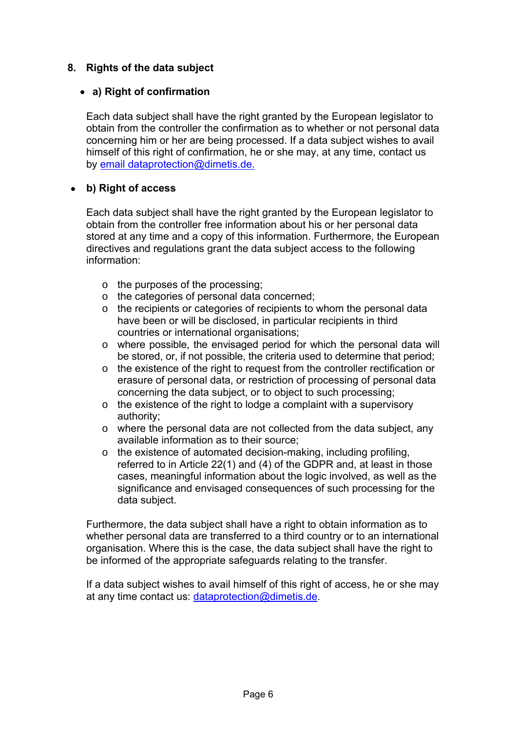## **8. Rights of the data subject**

### **a) Right of confirmation**

Each data subject shall have the right granted by the European legislator to obtain from the controller the confirmation as to whether or not personal data concerning him or her are being processed. If a data subject wishes to avail himself of this right of confirmation, he or she may, at any time, contact us by email dataprotection@dimetis.de.

## **b) Right of access**

Each data subject shall have the right granted by the European legislator to obtain from the controller free information about his or her personal data stored at any time and a copy of this information. Furthermore, the European directives and regulations grant the data subject access to the following information:

- o the purposes of the processing;
- o the categories of personal data concerned;
- o the recipients or categories of recipients to whom the personal data have been or will be disclosed, in particular recipients in third countries or international organisations;
- $\circ$  where possible, the envisaged period for which the personal data will be stored, or, if not possible, the criteria used to determine that period;
- o the existence of the right to request from the controller rectification or erasure of personal data, or restriction of processing of personal data concerning the data subject, or to object to such processing;
- o the existence of the right to lodge a complaint with a supervisory authority;
- $\circ$  where the personal data are not collected from the data subject, any available information as to their source;
- o the existence of automated decision-making, including profiling, referred to in Article 22(1) and (4) of the GDPR and, at least in those cases, meaningful information about the logic involved, as well as the significance and envisaged consequences of such processing for the data subject.

Furthermore, the data subject shall have a right to obtain information as to whether personal data are transferred to a third country or to an international organisation. Where this is the case, the data subject shall have the right to be informed of the appropriate safeguards relating to the transfer.

If a data subject wishes to avail himself of this right of access, he or she may at any time contact us: dataprotection@dimetis.de.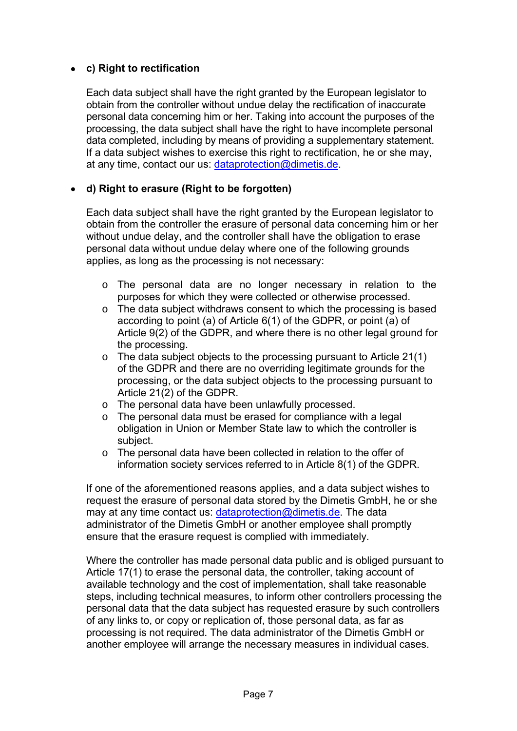## **c) Right to rectification**

Each data subject shall have the right granted by the European legislator to obtain from the controller without undue delay the rectification of inaccurate personal data concerning him or her. Taking into account the purposes of the processing, the data subject shall have the right to have incomplete personal data completed, including by means of providing a supplementary statement. If a data subject wishes to exercise this right to rectification, he or she may, at any time, contact our us: dataprotection@dimetis.de.

### **d) Right to erasure (Right to be forgotten)**

Each data subject shall have the right granted by the European legislator to obtain from the controller the erasure of personal data concerning him or her without undue delay, and the controller shall have the obligation to erase personal data without undue delay where one of the following grounds applies, as long as the processing is not necessary:

- o The personal data are no longer necessary in relation to the purposes for which they were collected or otherwise processed.
- o The data subject withdraws consent to which the processing is based according to point (a) of Article 6(1) of the GDPR, or point (a) of Article 9(2) of the GDPR, and where there is no other legal ground for the processing.
- o The data subject objects to the processing pursuant to Article 21(1) of the GDPR and there are no overriding legitimate grounds for the processing, or the data subject objects to the processing pursuant to Article 21(2) of the GDPR.
- o The personal data have been unlawfully processed.
- o The personal data must be erased for compliance with a legal obligation in Union or Member State law to which the controller is subject.
- o The personal data have been collected in relation to the offer of information society services referred to in Article 8(1) of the GDPR.

If one of the aforementioned reasons applies, and a data subject wishes to request the erasure of personal data stored by the Dimetis GmbH, he or she may at any time contact us: dataprotection@dimetis.de. The data administrator of the Dimetis GmbH or another employee shall promptly ensure that the erasure request is complied with immediately.

Where the controller has made personal data public and is obliged pursuant to Article 17(1) to erase the personal data, the controller, taking account of available technology and the cost of implementation, shall take reasonable steps, including technical measures, to inform other controllers processing the personal data that the data subject has requested erasure by such controllers of any links to, or copy or replication of, those personal data, as far as processing is not required. The data administrator of the Dimetis GmbH or another employee will arrange the necessary measures in individual cases.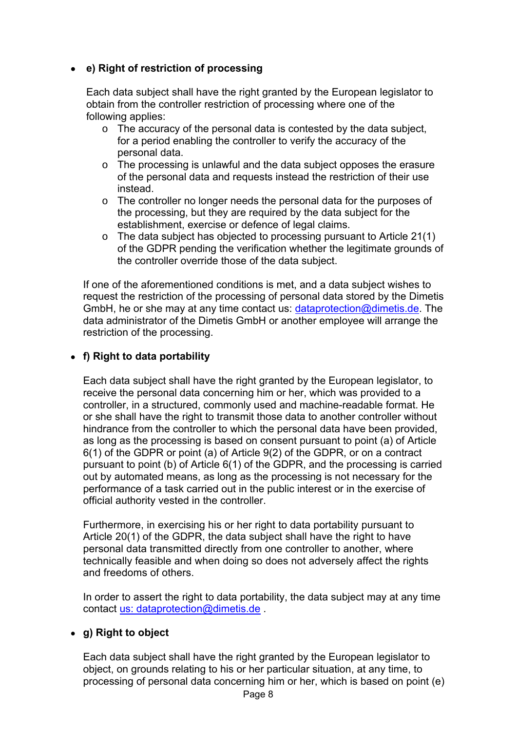# **e) Right of restriction of processing**

Each data subject shall have the right granted by the European legislator to obtain from the controller restriction of processing where one of the following applies:

- o The accuracy of the personal data is contested by the data subject, for a period enabling the controller to verify the accuracy of the personal data.
- o The processing is unlawful and the data subject opposes the erasure of the personal data and requests instead the restriction of their use instead.
- $\circ$  The controller no longer needs the personal data for the purposes of the processing, but they are required by the data subject for the establishment, exercise or defence of legal claims.
- o The data subject has objected to processing pursuant to Article 21(1) of the GDPR pending the verification whether the legitimate grounds of the controller override those of the data subject.

If one of the aforementioned conditions is met, and a data subject wishes to request the restriction of the processing of personal data stored by the Dimetis GmbH, he or she may at any time contact us:  $d$ ataprotection@dimetis.de. The data administrator of the Dimetis GmbH or another employee will arrange the restriction of the processing.

## **f) Right to data portability**

Each data subject shall have the right granted by the European legislator, to receive the personal data concerning him or her, which was provided to a controller, in a structured, commonly used and machine-readable format. He or she shall have the right to transmit those data to another controller without hindrance from the controller to which the personal data have been provided, as long as the processing is based on consent pursuant to point (a) of Article 6(1) of the GDPR or point (a) of Article 9(2) of the GDPR, or on a contract pursuant to point (b) of Article 6(1) of the GDPR, and the processing is carried out by automated means, as long as the processing is not necessary for the performance of a task carried out in the public interest or in the exercise of official authority vested in the controller.

Furthermore, in exercising his or her right to data portability pursuant to Article 20(1) of the GDPR, the data subject shall have the right to have personal data transmitted directly from one controller to another, where technically feasible and when doing so does not adversely affect the rights and freedoms of others.

In order to assert the right to data portability, the data subject may at any time contact us: dataprotection@dimetis.de .

### **g) Right to object**

Each data subject shall have the right granted by the European legislator to object, on grounds relating to his or her particular situation, at any time, to processing of personal data concerning him or her, which is based on point (e)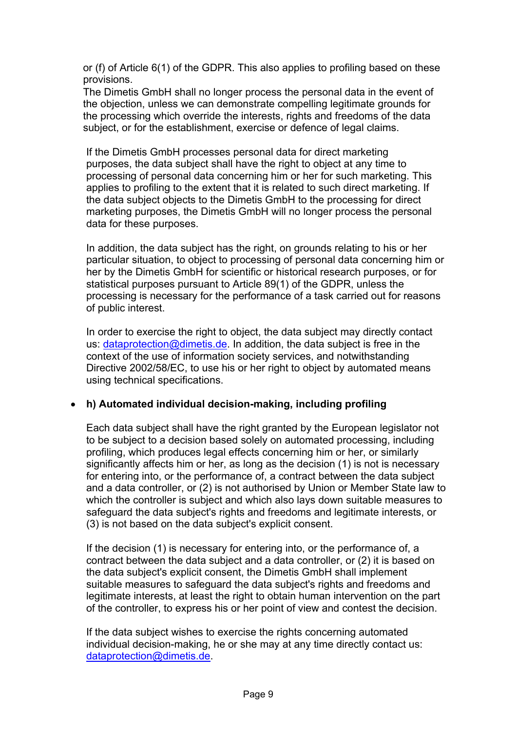or (f) of Article 6(1) of the GDPR. This also applies to profiling based on these provisions.

The Dimetis GmbH shall no longer process the personal data in the event of the objection, unless we can demonstrate compelling legitimate grounds for the processing which override the interests, rights and freedoms of the data subject, or for the establishment, exercise or defence of legal claims.

If the Dimetis GmbH processes personal data for direct marketing purposes, the data subject shall have the right to object at any time to processing of personal data concerning him or her for such marketing. This applies to profiling to the extent that it is related to such direct marketing. If the data subject objects to the Dimetis GmbH to the processing for direct marketing purposes, the Dimetis GmbH will no longer process the personal data for these purposes.

In addition, the data subject has the right, on grounds relating to his or her particular situation, to object to processing of personal data concerning him or her by the Dimetis GmbH for scientific or historical research purposes, or for statistical purposes pursuant to Article 89(1) of the GDPR, unless the processing is necessary for the performance of a task carried out for reasons of public interest.

In order to exercise the right to object, the data subject may directly contact us: dataprotection@dimetis.de. In addition, the data subject is free in the context of the use of information society services, and notwithstanding Directive 2002/58/EC, to use his or her right to object by automated means using technical specifications.

### **h) Automated individual decision-making, including profiling**

Each data subject shall have the right granted by the European legislator not to be subject to a decision based solely on automated processing, including profiling, which produces legal effects concerning him or her, or similarly significantly affects him or her, as long as the decision (1) is not is necessary for entering into, or the performance of, a contract between the data subject and a data controller, or (2) is not authorised by Union or Member State law to which the controller is subject and which also lays down suitable measures to safeguard the data subject's rights and freedoms and legitimate interests, or (3) is not based on the data subject's explicit consent.

If the decision (1) is necessary for entering into, or the performance of, a contract between the data subject and a data controller, or (2) it is based on the data subject's explicit consent, the Dimetis GmbH shall implement suitable measures to safeguard the data subject's rights and freedoms and legitimate interests, at least the right to obtain human intervention on the part of the controller, to express his or her point of view and contest the decision.

If the data subject wishes to exercise the rights concerning automated individual decision-making, he or she may at any time directly contact us: dataprotection@dimetis.de.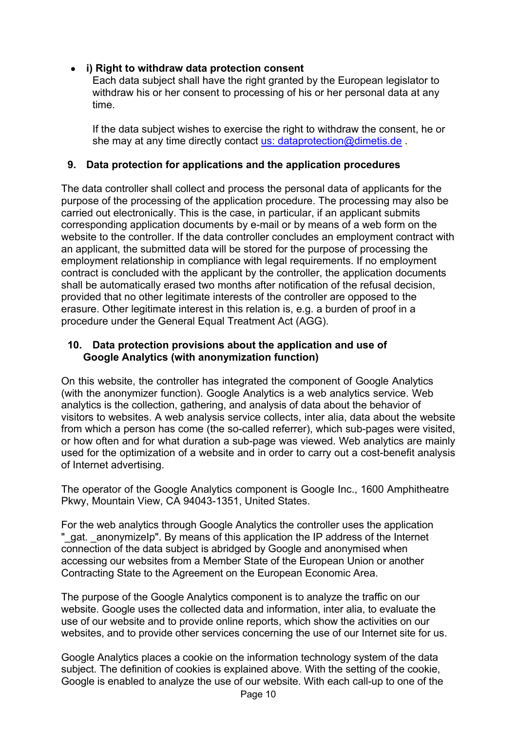## **i) Right to withdraw data protection consent**

Each data subject shall have the right granted by the European legislator to withdraw his or her consent to processing of his or her personal data at any time.

If the data subject wishes to exercise the right to withdraw the consent, he or she may at any time directly contact us: dataprotection@dimetis.de.

### **9. Data protection for applications and the application procedures**

The data controller shall collect and process the personal data of applicants for the purpose of the processing of the application procedure. The processing may also be carried out electronically. This is the case, in particular, if an applicant submits corresponding application documents by e-mail or by means of a web form on the website to the controller. If the data controller concludes an employment contract with an applicant, the submitted data will be stored for the purpose of processing the employment relationship in compliance with legal requirements. If no employment contract is concluded with the applicant by the controller, the application documents shall be automatically erased two months after notification of the refusal decision, provided that no other legitimate interests of the controller are opposed to the erasure. Other legitimate interest in this relation is, e.g. a burden of proof in a procedure under the General Equal Treatment Act (AGG).

#### **10. Data protection provisions about the application and use of Google Analytics (with anonymization function)**

On this website, the controller has integrated the component of Google Analytics (with the anonymizer function). Google Analytics is a web analytics service. Web analytics is the collection, gathering, and analysis of data about the behavior of visitors to websites. A web analysis service collects, inter alia, data about the website from which a person has come (the so-called referrer), which sub-pages were visited, or how often and for what duration a sub-page was viewed. Web analytics are mainly used for the optimization of a website and in order to carry out a cost-benefit analysis of Internet advertising.

The operator of the Google Analytics component is Google Inc., 1600 Amphitheatre Pkwy, Mountain View, CA 94043-1351, United States.

For the web analytics through Google Analytics the controller uses the application "\_gat. \_anonymizeIp". By means of this application the IP address of the Internet connection of the data subject is abridged by Google and anonymised when accessing our websites from a Member State of the European Union or another Contracting State to the Agreement on the European Economic Area.

The purpose of the Google Analytics component is to analyze the traffic on our website. Google uses the collected data and information, inter alia, to evaluate the use of our website and to provide online reports, which show the activities on our websites, and to provide other services concerning the use of our Internet site for us.

Google Analytics places a cookie on the information technology system of the data subject. The definition of cookies is explained above. With the setting of the cookie, Google is enabled to analyze the use of our website. With each call-up to one of the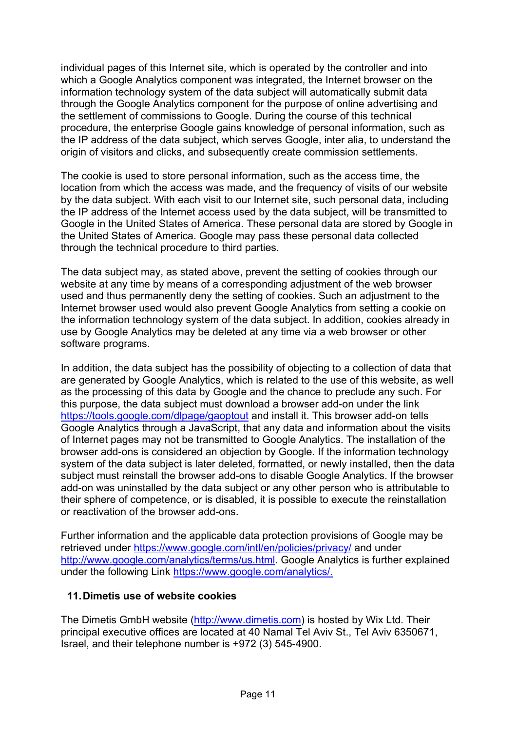individual pages of this Internet site, which is operated by the controller and into which a Google Analytics component was integrated, the Internet browser on the information technology system of the data subject will automatically submit data through the Google Analytics component for the purpose of online advertising and the settlement of commissions to Google. During the course of this technical procedure, the enterprise Google gains knowledge of personal information, such as the IP address of the data subject, which serves Google, inter alia, to understand the origin of visitors and clicks, and subsequently create commission settlements.

The cookie is used to store personal information, such as the access time, the location from which the access was made, and the frequency of visits of our website by the data subject. With each visit to our Internet site, such personal data, including the IP address of the Internet access used by the data subject, will be transmitted to Google in the United States of America. These personal data are stored by Google in the United States of America. Google may pass these personal data collected through the technical procedure to third parties.

The data subject may, as stated above, prevent the setting of cookies through our website at any time by means of a corresponding adjustment of the web browser used and thus permanently deny the setting of cookies. Such an adjustment to the Internet browser used would also prevent Google Analytics from setting a cookie on the information technology system of the data subject. In addition, cookies already in use by Google Analytics may be deleted at any time via a web browser or other software programs.

In addition, the data subject has the possibility of objecting to a collection of data that are generated by Google Analytics, which is related to the use of this website, as well as the processing of this data by Google and the chance to preclude any such. For this purpose, the data subject must download a browser add-on under the link https://tools.google.com/dlpage/gaoptout and install it. This browser add-on tells Google Analytics through a JavaScript, that any data and information about the visits of Internet pages may not be transmitted to Google Analytics. The installation of the browser add-ons is considered an objection by Google. If the information technology system of the data subject is later deleted, formatted, or newly installed, then the data subject must reinstall the browser add-ons to disable Google Analytics. If the browser add-on was uninstalled by the data subject or any other person who is attributable to their sphere of competence, or is disabled, it is possible to execute the reinstallation or reactivation of the browser add-ons.

Further information and the applicable data protection provisions of Google may be retrieved under https://www.google.com/intl/en/policies/privacy/ and under http://www.google.com/analytics/terms/us.html. Google Analytics is further explained under the following Link https://www.google.com/analytics/.

#### **11. Dimetis use of website cookies**

The Dimetis GmbH website (http://www.dimetis.com) is hosted by Wix Ltd. Their principal executive offices are located at 40 Namal Tel Aviv St., Tel Aviv 6350671, Israel, and their telephone number is +972 (3) 545-4900.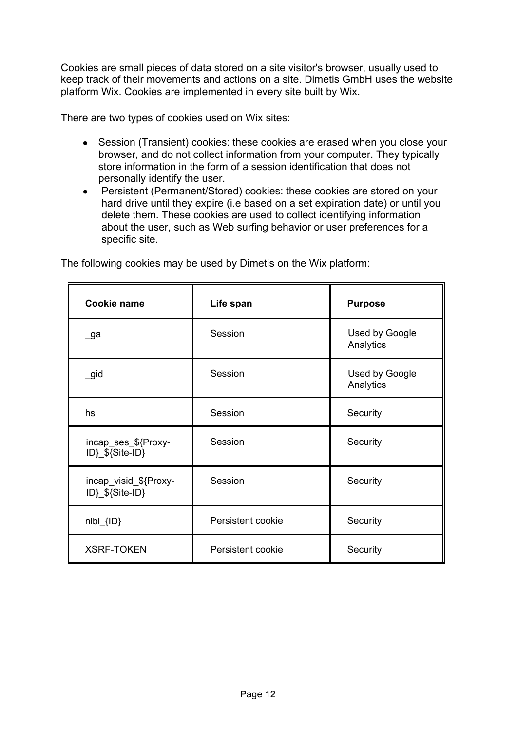Cookies are small pieces of data stored on a site visitor's browser, usually used to keep track of their movements and actions on a site. Dimetis GmbH uses the website platform Wix. Cookies are implemented in every site built by Wix.

There are two types of cookies used on Wix sites:

- Session (Transient) cookies: these cookies are erased when you close your browser, and do not collect information from your computer. They typically store information in the form of a session identification that does not personally identify the user.
- Persistent (Permanent/Stored) cookies: these cookies are stored on your hard drive until they expire (i.e based on a set expiration date) or until you delete them. These cookies are used to collect identifying information about the user, such as Web surfing behavior or user preferences for a specific site.

| Cookie name                              | Life span         | <b>Purpose</b>              |
|------------------------------------------|-------------------|-----------------------------|
| _ga                                      | Session           | Used by Google<br>Analytics |
| $\_$ gid                                 | Session           | Used by Google<br>Analytics |
| hs                                       | Session           | Security                    |
| incap_ses_\${Proxy-<br>ID} \${Site-ID}   | Session           | Security                    |
| incap visid \${Proxy-<br>ID}_\${Site-ID} | Session           | Security                    |
| nlbi_{ID}                                | Persistent cookie | Security                    |
| <b>XSRF-TOKEN</b>                        | Persistent cookie | Security                    |

The following cookies may be used by Dimetis on the Wix platform: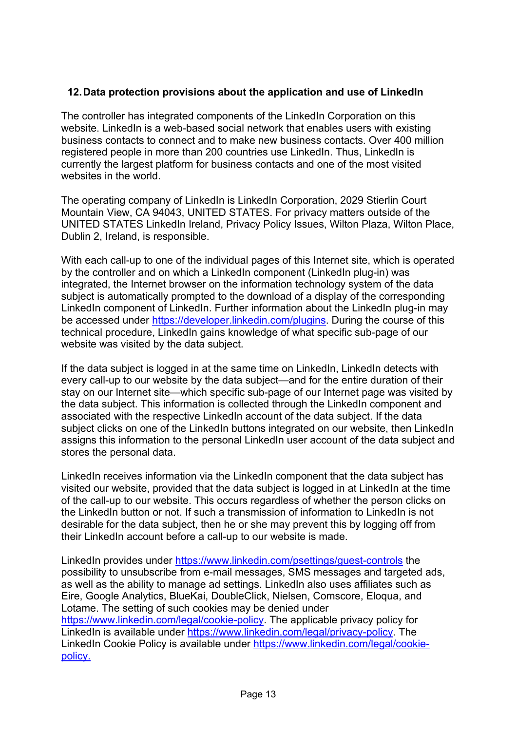### **12. Data protection provisions about the application and use of LinkedIn**

The controller has integrated components of the LinkedIn Corporation on this website. LinkedIn is a web-based social network that enables users with existing business contacts to connect and to make new business contacts. Over 400 million registered people in more than 200 countries use LinkedIn. Thus, LinkedIn is currently the largest platform for business contacts and one of the most visited websites in the world.

The operating company of LinkedIn is LinkedIn Corporation, 2029 Stierlin Court Mountain View, CA 94043, UNITED STATES. For privacy matters outside of the UNITED STATES LinkedIn Ireland, Privacy Policy Issues, Wilton Plaza, Wilton Place, Dublin 2, Ireland, is responsible.

With each call-up to one of the individual pages of this Internet site, which is operated by the controller and on which a LinkedIn component (LinkedIn plug-in) was integrated, the Internet browser on the information technology system of the data subject is automatically prompted to the download of a display of the corresponding LinkedIn component of LinkedIn. Further information about the LinkedIn plug-in may be accessed under https://developer.linkedin.com/plugins. During the course of this technical procedure, LinkedIn gains knowledge of what specific sub-page of our website was visited by the data subject.

If the data subject is logged in at the same time on LinkedIn, LinkedIn detects with every call-up to our website by the data subject—and for the entire duration of their stay on our Internet site—which specific sub-page of our Internet page was visited by the data subject. This information is collected through the LinkedIn component and associated with the respective LinkedIn account of the data subject. If the data subject clicks on one of the LinkedIn buttons integrated on our website, then LinkedIn assigns this information to the personal LinkedIn user account of the data subject and stores the personal data.

LinkedIn receives information via the LinkedIn component that the data subject has visited our website, provided that the data subject is logged in at LinkedIn at the time of the call-up to our website. This occurs regardless of whether the person clicks on the LinkedIn button or not. If such a transmission of information to LinkedIn is not desirable for the data subject, then he or she may prevent this by logging off from their LinkedIn account before a call-up to our website is made.

LinkedIn provides under https://www.linkedin.com/psettings/guest-controls the possibility to unsubscribe from e-mail messages, SMS messages and targeted ads, as well as the ability to manage ad settings. LinkedIn also uses affiliates such as Eire, Google Analytics, BlueKai, DoubleClick, Nielsen, Comscore, Eloqua, and Lotame. The setting of such cookies may be denied under https://www.linkedin.com/legal/cookie-policy. The applicable privacy policy for LinkedIn is available under https://www.linkedin.com/legal/privacy-policy. The LinkedIn Cookie Policy is available under https://www.linkedin.com/legal/cookiepolicy.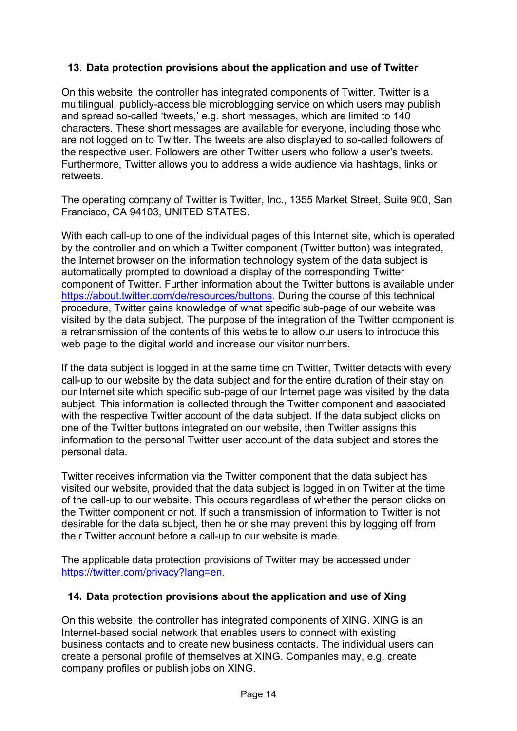## **13. Data protection provisions about the application and use of Twitter**

On this website, the controller has integrated components of Twitter. Twitter is a multilingual, publicly-accessible microblogging service on which users may publish and spread so-called 'tweets,' e.g. short messages, which are limited to 140 characters. These short messages are available for everyone, including those who are not logged on to Twitter. The tweets are also displayed to so-called followers of the respective user. Followers are other Twitter users who follow a user's tweets. Furthermore, Twitter allows you to address a wide audience via hashtags, links or retweets.

The operating company of Twitter is Twitter, Inc., 1355 Market Street, Suite 900, San Francisco, CA 94103, UNITED STATES.

With each call-up to one of the individual pages of this Internet site, which is operated by the controller and on which a Twitter component (Twitter button) was integrated, the Internet browser on the information technology system of the data subject is automatically prompted to download a display of the corresponding Twitter component of Twitter. Further information about the Twitter buttons is available under https://about.twitter.com/de/resources/buttons. During the course of this technical procedure, Twitter gains knowledge of what specific sub-page of our website was visited by the data subject. The purpose of the integration of the Twitter component is a retransmission of the contents of this website to allow our users to introduce this web page to the digital world and increase our visitor numbers.

If the data subject is logged in at the same time on Twitter, Twitter detects with every call-up to our website by the data subject and for the entire duration of their stay on our Internet site which specific sub-page of our Internet page was visited by the data subject. This information is collected through the Twitter component and associated with the respective Twitter account of the data subject. If the data subject clicks on one of the Twitter buttons integrated on our website, then Twitter assigns this information to the personal Twitter user account of the data subject and stores the personal data.

Twitter receives information via the Twitter component that the data subject has visited our website, provided that the data subject is logged in on Twitter at the time of the call-up to our website. This occurs regardless of whether the person clicks on the Twitter component or not. If such a transmission of information to Twitter is not desirable for the data subject, then he or she may prevent this by logging off from their Twitter account before a call-up to our website is made.

The applicable data protection provisions of Twitter may be accessed under https://twitter.com/privacy?lang=en.

### **14. Data protection provisions about the application and use of Xing**

On this website, the controller has integrated components of XING. XING is an Internet-based social network that enables users to connect with existing business contacts and to create new business contacts. The individual users can create a personal profile of themselves at XING. Companies may, e.g. create company profiles or publish jobs on XING.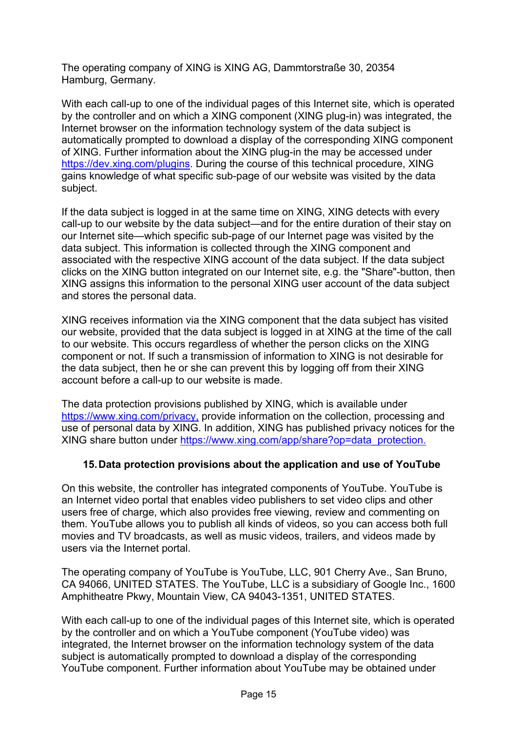The operating company of XING is XING AG, Dammtorstraße 30, 20354 Hamburg, Germany.

With each call-up to one of the individual pages of this Internet site, which is operated by the controller and on which a XING component (XING plug-in) was integrated, the Internet browser on the information technology system of the data subject is automatically prompted to download a display of the corresponding XING component of XING. Further information about the XING plug-in the may be accessed under https://dev.xing.com/plugins. During the course of this technical procedure, XING gains knowledge of what specific sub-page of our website was visited by the data subject.

If the data subject is logged in at the same time on XING, XING detects with every call-up to our website by the data subject—and for the entire duration of their stay on our Internet site—which specific sub-page of our Internet page was visited by the data subject. This information is collected through the XING component and associated with the respective XING account of the data subject. If the data subject clicks on the XING button integrated on our Internet site, e.g. the "Share"-button, then XING assigns this information to the personal XING user account of the data subject and stores the personal data.

XING receives information via the XING component that the data subject has visited our website, provided that the data subject is logged in at XING at the time of the call to our website. This occurs regardless of whether the person clicks on the XING component or not. If such a transmission of information to XING is not desirable for the data subject, then he or she can prevent this by logging off from their XING account before a call-up to our website is made.

The data protection provisions published by XING, which is available under https://www.xing.com/privacy, provide information on the collection, processing and use of personal data by XING. In addition, XING has published privacy notices for the XING share button under https://www.xing.com/app/share?op=data\_protection.

### **15. Data protection provisions about the application and use of YouTube**

On this website, the controller has integrated components of YouTube. YouTube is an Internet video portal that enables video publishers to set video clips and other users free of charge, which also provides free viewing, review and commenting on them. YouTube allows you to publish all kinds of videos, so you can access both full movies and TV broadcasts, as well as music videos, trailers, and videos made by users via the Internet portal.

The operating company of YouTube is YouTube, LLC, 901 Cherry Ave., San Bruno, CA 94066, UNITED STATES. The YouTube, LLC is a subsidiary of Google Inc., 1600 Amphitheatre Pkwy, Mountain View, CA 94043-1351, UNITED STATES.

With each call-up to one of the individual pages of this Internet site, which is operated by the controller and on which a YouTube component (YouTube video) was integrated, the Internet browser on the information technology system of the data subject is automatically prompted to download a display of the corresponding YouTube component. Further information about YouTube may be obtained under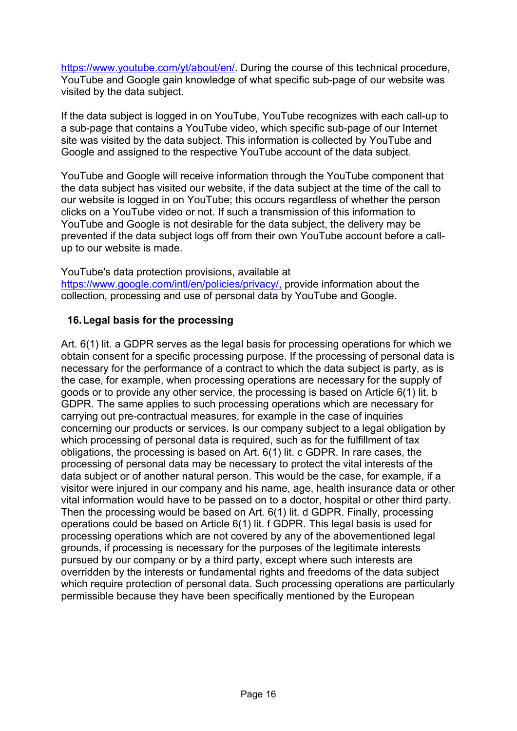https://www.youtube.com/yt/about/en/. During the course of this technical procedure, YouTube and Google gain knowledge of what specific sub-page of our website was visited by the data subject.

If the data subject is logged in on YouTube, YouTube recognizes with each call-up to a sub-page that contains a YouTube video, which specific sub-page of our Internet site was visited by the data subject. This information is collected by YouTube and Google and assigned to the respective YouTube account of the data subject.

YouTube and Google will receive information through the YouTube component that the data subject has visited our website, if the data subject at the time of the call to our website is logged in on YouTube; this occurs regardless of whether the person clicks on a YouTube video or not. If such a transmission of this information to YouTube and Google is not desirable for the data subject, the delivery may be prevented if the data subject logs off from their own YouTube account before a callup to our website is made.

#### YouTube's data protection provisions, available at

https://www.google.com/intl/en/policies/privacy/, provide information about the collection, processing and use of personal data by YouTube and Google.

### **16. Legal basis for the processing**

Art. 6(1) lit. a GDPR serves as the legal basis for processing operations for which we obtain consent for a specific processing purpose. If the processing of personal data is necessary for the performance of a contract to which the data subject is party, as is the case, for example, when processing operations are necessary for the supply of goods or to provide any other service, the processing is based on Article 6(1) lit. b GDPR. The same applies to such processing operations which are necessary for carrying out pre-contractual measures, for example in the case of inquiries concerning our products or services. Is our company subject to a legal obligation by which processing of personal data is required, such as for the fulfillment of tax obligations, the processing is based on Art. 6(1) lit. c GDPR. In rare cases, the processing of personal data may be necessary to protect the vital interests of the data subject or of another natural person. This would be the case, for example, if a visitor were injured in our company and his name, age, health insurance data or other vital information would have to be passed on to a doctor, hospital or other third party. Then the processing would be based on Art. 6(1) lit. d GDPR. Finally, processing operations could be based on Article 6(1) lit. f GDPR. This legal basis is used for processing operations which are not covered by any of the abovementioned legal grounds, if processing is necessary for the purposes of the legitimate interests pursued by our company or by a third party, except where such interests are overridden by the interests or fundamental rights and freedoms of the data subject which require protection of personal data. Such processing operations are particularly permissible because they have been specifically mentioned by the European